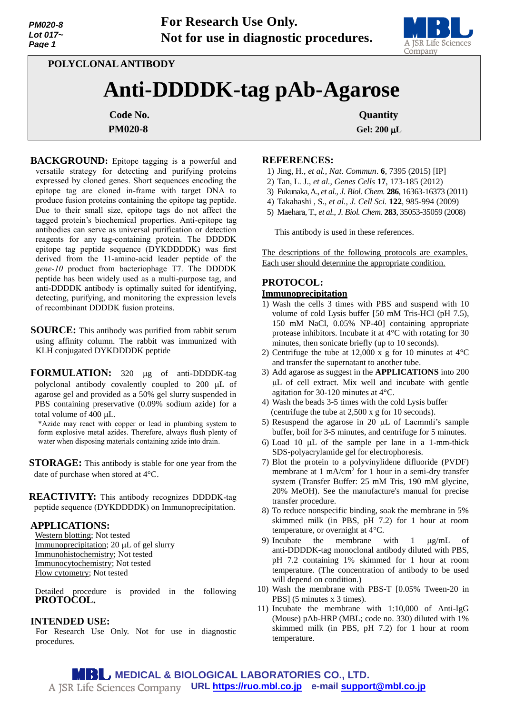

**POLYCLONAL ANTIBODY**

# **Anti-DDDDK-tag pAb-Agarose**

**PM020-8 Gel: 200 µL** 

**Code No.** Quantity

**BACKGROUND:** Epitope tagging is a powerful and versatile strategy for detecting and purifying proteins expressed by cloned genes. Short sequences encoding the epitope tag are cloned in-frame with target DNA to produce fusion proteins containing the epitope tag peptide. Due to their small size, epitope tags do not affect the tagged protein's biochemical properties. Anti-epitope tag antibodies can serve as universal purification or detection reagents for any tag-containing protein. The DDDDK epitope tag peptide sequence (DYKDDDDK) was first derived from the 11-amino-acid leader peptide of the *gene-10* product from bacteriophage T7. The DDDDK peptide has been widely used as a multi-purpose tag, and anti-DDDDK antibody is optimally suited for identifying, detecting, purifying, and monitoring the expression levels of recombinant DDDDK fusion proteins.

**SOURCE:** This antibody was purified from rabbit serum using affinity column. The rabbit was immunized with KLH conjugated DYKDDDDK peptide

**FORMULATION:** 320 µg of anti-DDDDK-tag polyclonal antibody covalently coupled to  $200 \mu L$  of agarose gel and provided as a 50% gel slurry suspended in PBS containing preservative (0.09% sodium azide) for a total volume of 400 µL.

\*Azide may react with copper or lead in plumbing system to form explosive metal azides. Therefore, always flush plenty of water when disposing materials containing azide into drain.

**STORAGE:** This antibody is stable for one year from the date of purchase when stored at 4°C.

**REACTIVITY:** This antibody recognizes DDDDK-tag peptide sequence (DYKDDDDK) on Immunoprecipitation.

## **APPLICATIONS:**

Western blotting; Not tested Immunoprecipitation; 20 µL of gel slurry Immunohistochemistry; Not tested Immunocytochemistry; Not tested Flow cytometry; Not tested

Detailed procedure is provided in the following **PROTOCOL.**

## **INTENDED USE:**

For Research Use Only. Not for use in diagnostic procedures.

#### **REFERENCES:**

- 1) Jing, H., *et al., Nat. Commun*. **6**, 7395 (2015) [IP]
- 2) Tan, L. J., *et al., Genes Cells* **17**, 173-185 (2012)
- 3) Fukunaka, A., *et al., J. Biol. Chem.* **286**, 16363-16373 (2011)
- 4) Takahashi , S., *et al., J. Cell Sci.* **122**, 985-994 (2009)
- 5) Maehara, T., *et al., J. Biol. Chem.* **283**, 35053-35059 (2008)

This antibody is used in these references.

The descriptions of the following protocols are examples. Each user should determine the appropriate condition.

# **PROTOCOL:**

## **Immunoprecipitation**

- 1) Wash the cells 3 times with PBS and suspend with 10 volume of cold Lysis buffer [50 mM Tris-HCl (pH 7.5), 150 mM NaCl, 0.05% NP-40] containing appropriate protease inhibitors. Incubate it at 4°C with rotating for 30 minutes, then sonicate briefly (up to 10 seconds).
- 2) Centrifuge the tube at 12,000 x g for 10 minutes at  $4^{\circ}$ C and transfer the supernatant to another tube.
- 3) Add agarose as suggest in the **APPLICATIONS** into 200 L of cell extract. Mix well and incubate with gentle agitation for 30-120 minutes at 4°C.
- 4) Wash the beads 3-5 times with the cold Lysis buffer (centrifuge the tube at 2,500 x g for 10 seconds).
- 5) Resuspend the agarose in 20  $\mu$ L of Laemmli's sample buffer, boil for 3-5 minutes, and centrifuge for 5 minutes.
- 6) Load 10  $\mu$ L of the sample per lane in a 1-mm-thick SDS-polyacrylamide gel for electrophoresis.
- 7) Blot the protein to a polyvinylidene difluoride (PVDF) membrane at 1 mA/cm<sup>2</sup> for 1 hour in a semi-dry transfer system (Transfer Buffer: 25 mM Tris, 190 mM glycine, 20% MeOH). See the manufacture's manual for precise transfer procedure.
- 8) To reduce nonspecific binding, soak the membrane in 5% skimmed milk (in PBS, pH 7.2) for 1 hour at room temperature, or overnight at 4°C.
- 9) Incubate the membrane with  $1 \mu g/mL$  of anti-DDDDK-tag monoclonal antibody diluted with PBS, pH 7.2 containing 1% skimmed for 1 hour at room temperature. (The concentration of antibody to be used will depend on condition.)
- 10) Wash the membrane with PBS-T [0.05% Tween-20 in PBS] (5 minutes x 3 times).
- 11) Incubate the membrane with 1:10,000 of Anti-IgG (Mouse) pAb-HRP (MBL; code no. 330) diluted with 1% skimmed milk (in PBS, pH 7.2) for 1 hour at room temperature.